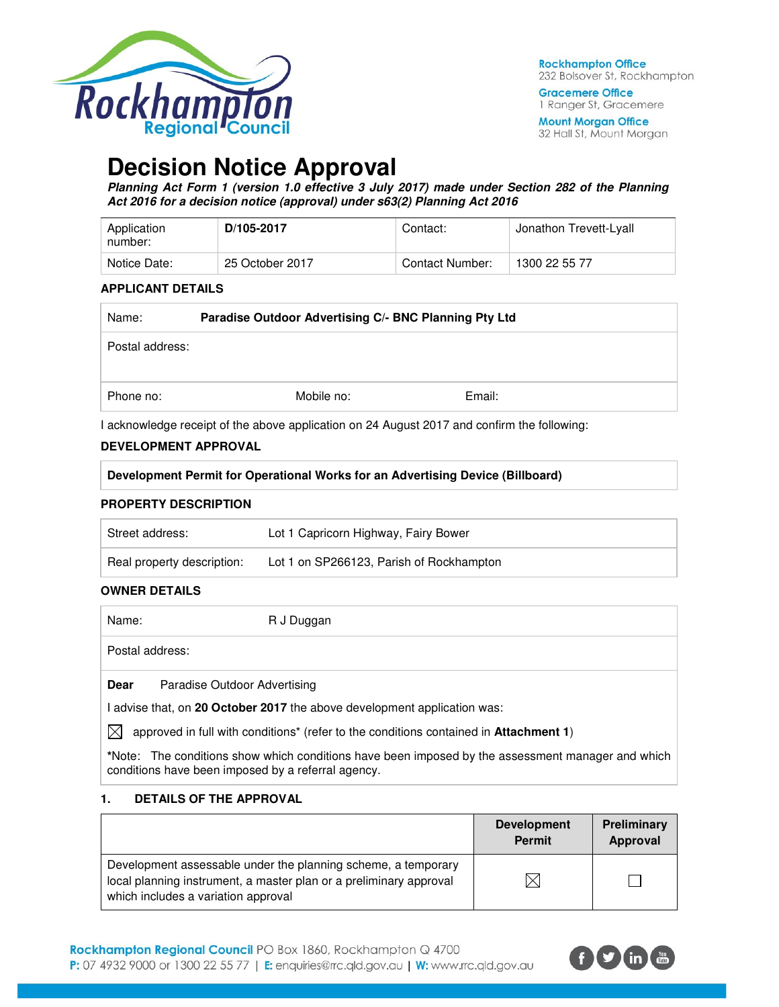

**Gracemere Office** 1 Ranger St, Gracemere

**Mount Morgan Office** 32 Hall St, Mount Morgan

# **Decision Notice Approval**

**Planning Act Form 1 (version 1.0 effective 3 July 2017) made under Section 282 of the Planning Act 2016 for a decision notice (approval) under s63(2) Planning Act 2016** 

| Application<br>number: | D/105-2017      | Contact:        | Jonathon Trevett-Lyall |
|------------------------|-----------------|-----------------|------------------------|
| Notice Date:           | 25 October 2017 | Contact Number: | 1300 22 55 77          |

#### **APPLICANT DETAILS**

| Name:           | Paradise Outdoor Advertising C/- BNC Planning Pty Ltd |            |        |
|-----------------|-------------------------------------------------------|------------|--------|
| Postal address: |                                                       |            |        |
| Phone no:       |                                                       | Mobile no: | Email: |

I acknowledge receipt of the above application on 24 August 2017 and confirm the following:

#### **DEVELOPMENT APPROVAL**

| Development Permit for Operational Works for an Advertising Device (Billboard) |  |
|--------------------------------------------------------------------------------|--|
|--------------------------------------------------------------------------------|--|

### **PROPERTY DESCRIPTION**

| Street address:            | Lot 1 Capricorn Highway, Fairy Bower     |
|----------------------------|------------------------------------------|
| Real property description: | Lot 1 on SP266123, Parish of Rockhampton |

## **OWNER DETAILS**

| Name:           |                              | R J Duggan |  |  |  |
|-----------------|------------------------------|------------|--|--|--|
| Postal address: |                              |            |  |  |  |
| Dear            | Paradise Outdoor Advertising |            |  |  |  |

I advise that, on **20 October 2017** the above development application was:

 $\bowtie$  approved in full with conditions<sup>\*</sup> (refer to the conditions contained in **Attachment 1**)

**\***Note:The conditions show which conditions have been imposed by the assessment manager and which conditions have been imposed by a referral agency.

#### **1. DETAILS OF THE APPROVAL**

|                                                                                                                                                                            | <b>Development</b><br><b>Permit</b> | Preliminary<br>Approval |
|----------------------------------------------------------------------------------------------------------------------------------------------------------------------------|-------------------------------------|-------------------------|
| Development assessable under the planning scheme, a temporary<br>local planning instrument, a master plan or a preliminary approval<br>which includes a variation approval |                                     |                         |

Rockhampton Regional Council PO Box 1860, Rockhampton Q 4700 P: 07 4932 9000 or 1300 22 55 77 | E: enquiries@rrc.qld.gov.au | W: www.rrc.qld.gov.au

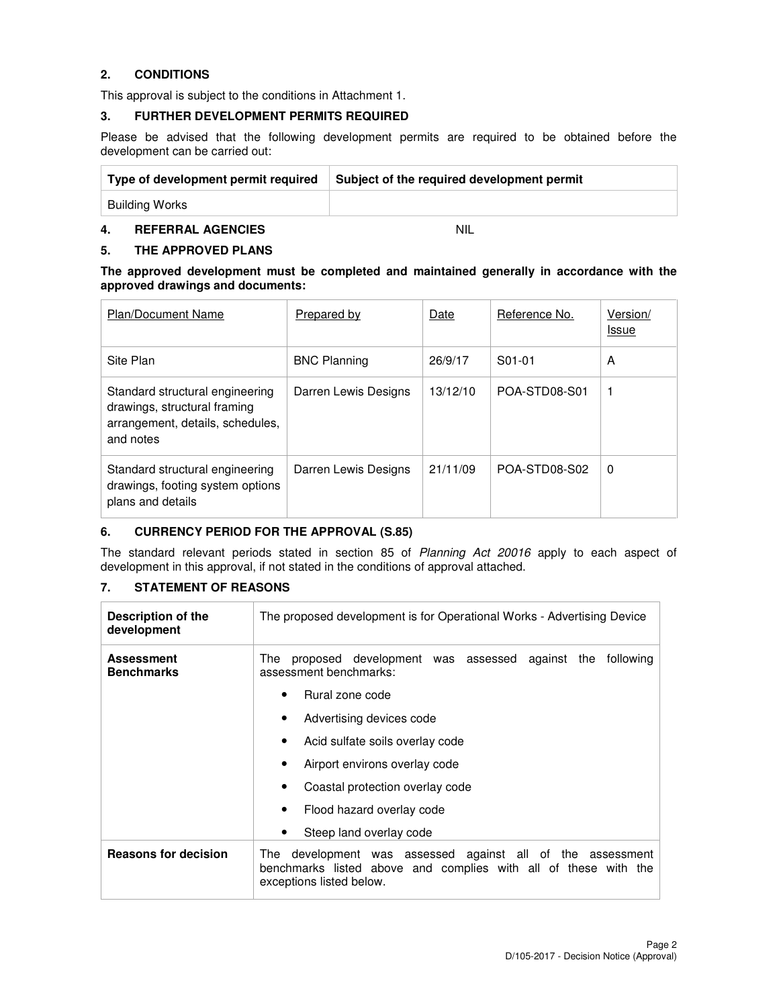## **2. CONDITIONS**

This approval is subject to the conditions in Attachment 1.

#### **3. FURTHER DEVELOPMENT PERMITS REQUIRED**

Please be advised that the following development permits are required to be obtained before the development can be carried out:

| Type of development permit required | Subject of the required development permit |
|-------------------------------------|--------------------------------------------|
| Building Works                      |                                            |

## **4. REFERRAL AGENCIES** NIL

#### **5. THE APPROVED PLANS**

**The approved development must be completed and maintained generally in accordance with the approved drawings and documents:** 

| <b>Plan/Document Name</b>                                                                                        | <b>Prepared by</b>   | Date     | Reference No. | Version/<br><b>Issue</b> |
|------------------------------------------------------------------------------------------------------------------|----------------------|----------|---------------|--------------------------|
| Site Plan                                                                                                        | <b>BNC Planning</b>  | 26/9/17  | S01-01        | A                        |
| Standard structural engineering<br>drawings, structural framing<br>arrangement, details, schedules,<br>and notes | Darren Lewis Designs | 13/12/10 | POA-STD08-S01 | 1                        |
| Standard structural engineering<br>drawings, footing system options<br>plans and details                         | Darren Lewis Designs | 21/11/09 | POA-STD08-S02 | $\Omega$                 |

#### **6. CURRENCY PERIOD FOR THE APPROVAL (S.85)**

The standard relevant periods stated in section 85 of Planning Act 20016 apply to each aspect of development in this approval, if not stated in the conditions of approval attached.

## **7. STATEMENT OF REASONS**

| Description of the<br>development      | The proposed development is for Operational Works - Advertising Device                                                                                       |  |  |  |  |  |  |
|----------------------------------------|--------------------------------------------------------------------------------------------------------------------------------------------------------------|--|--|--|--|--|--|
| <b>Assessment</b><br><b>Benchmarks</b> | proposed development was assessed against the<br>following<br>The<br>assessment benchmarks:                                                                  |  |  |  |  |  |  |
|                                        | Rural zone code<br>٠                                                                                                                                         |  |  |  |  |  |  |
|                                        | Advertising devices code<br>٠                                                                                                                                |  |  |  |  |  |  |
|                                        | Acid sulfate soils overlay code<br>٠                                                                                                                         |  |  |  |  |  |  |
|                                        | Airport environs overlay code<br>٠                                                                                                                           |  |  |  |  |  |  |
|                                        | Coastal protection overlay code<br>٠                                                                                                                         |  |  |  |  |  |  |
|                                        | Flood hazard overlay code<br>٠                                                                                                                               |  |  |  |  |  |  |
|                                        | Steep land overlay code<br>٠                                                                                                                                 |  |  |  |  |  |  |
| <b>Reasons for decision</b>            | development was assessed against all of the assessment<br>The<br>benchmarks listed above and complies with all of these with the<br>exceptions listed below. |  |  |  |  |  |  |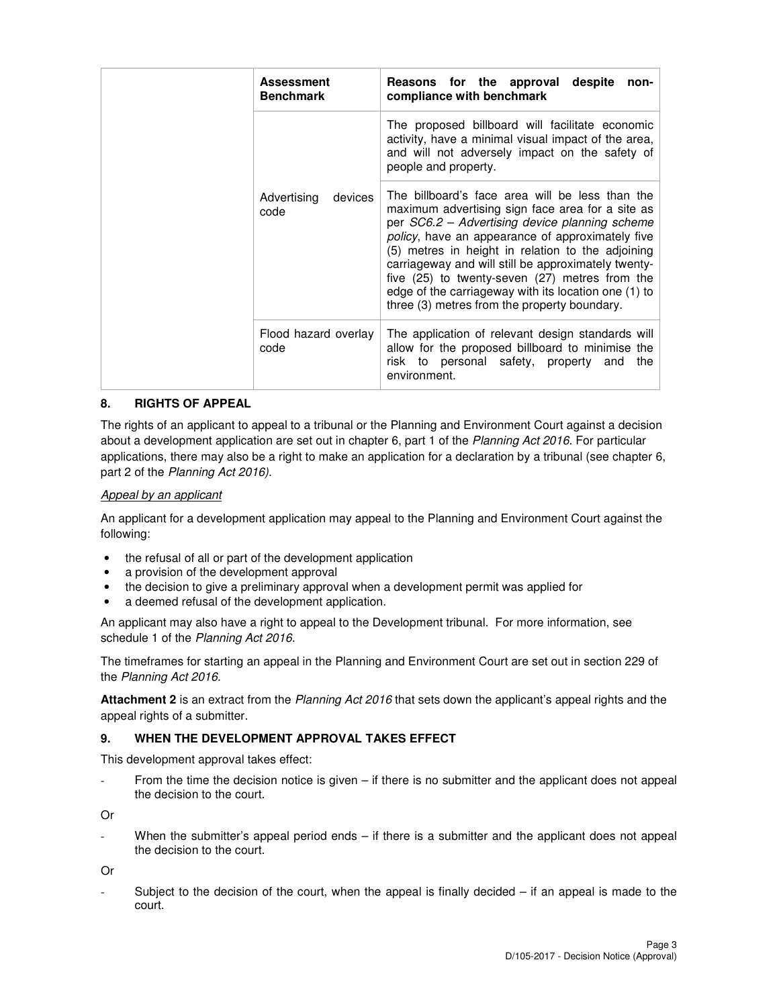|  | <b>Assessment</b><br><b>Benchmark</b> | Reasons for the approval despite<br>non-<br>compliance with benchmark                                                                                                                                                                                                                                                                                                                                                                                                           |
|--|---------------------------------------|---------------------------------------------------------------------------------------------------------------------------------------------------------------------------------------------------------------------------------------------------------------------------------------------------------------------------------------------------------------------------------------------------------------------------------------------------------------------------------|
|  |                                       | The proposed billboard will facilitate economic<br>activity, have a minimal visual impact of the area,<br>and will not adversely impact on the safety of<br>people and property.                                                                                                                                                                                                                                                                                                |
|  | Advertising<br>devices<br>code        | The billboard's face area will be less than the<br>maximum advertising sign face area for a site as<br>per SC6.2 - Advertising device planning scheme<br>policy, have an appearance of approximately five<br>(5) metres in height in relation to the adjoining<br>carriageway and will still be approximately twenty-<br>five (25) to twenty-seven (27) metres from the<br>edge of the carriageway with its location one (1) to<br>three (3) metres from the property boundary. |
|  | Flood hazard overlay<br>code          | The application of relevant design standards will<br>allow for the proposed billboard to minimise the<br>risk to personal safety, property and<br>the<br>environment.                                                                                                                                                                                                                                                                                                           |

### **8. RIGHTS OF APPEAL**

The rights of an applicant to appeal to a tribunal or the Planning and Environment Court against a decision about a development application are set out in chapter 6, part 1 of the Planning Act 2016. For particular applications, there may also be a right to make an application for a declaration by a tribunal (see chapter 6, part 2 of the Planning Act 2016).

#### Appeal by an applicant

An applicant for a development application may appeal to the Planning and Environment Court against the following:

- the refusal of all or part of the development application
- a provision of the development approval
- the decision to give a preliminary approval when a development permit was applied for
- a deemed refusal of the development application.

An applicant may also have a right to appeal to the Development tribunal. For more information, see schedule 1 of the Planning Act 2016.

The timeframes for starting an appeal in the Planning and Environment Court are set out in section 229 of the Planning Act 2016.

**Attachment 2** is an extract from the Planning Act 2016 that sets down the applicant's appeal rights and the appeal rights of a submitter.

#### **9. WHEN THE DEVELOPMENT APPROVAL TAKES EFFECT**

This development approval takes effect:

From the time the decision notice is given - if there is no submitter and the applicant does not appeal the decision to the court.

Or

When the submitter's appeal period ends – if there is a submitter and the applicant does not appeal the decision to the court.

Or

Subject to the decision of the court, when the appeal is finally decided  $-$  if an appeal is made to the court.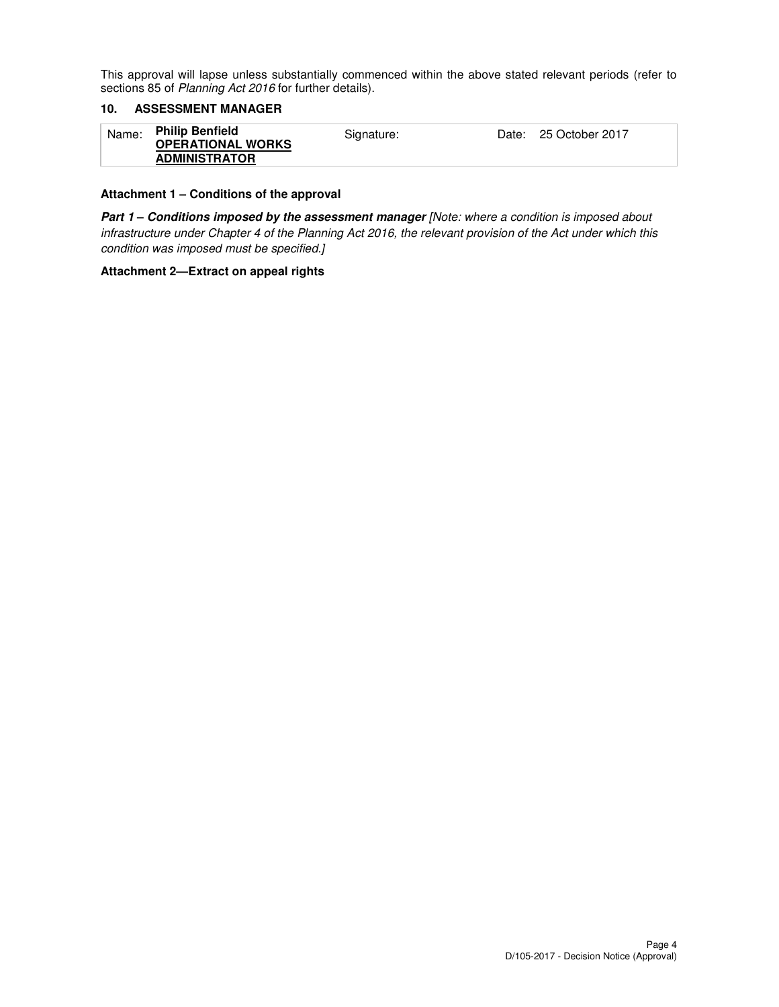This approval will lapse unless substantially commenced within the above stated relevant periods (refer to sections 85 of Planning Act 2016 for further details).

## **10. ASSESSMENT MANAGER**

| <b>Philip Benfield</b><br>Name:<br>Signature:<br><b>OPERATIONAL WORKS</b><br><b>ADMINISTRATOR</b> | Date: 25 October 2017 |  |
|---------------------------------------------------------------------------------------------------|-----------------------|--|
|---------------------------------------------------------------------------------------------------|-----------------------|--|

### **Attachment 1 – Conditions of the approval**

**Part 1 – Conditions imposed by the assessment manager** [Note: where a condition is imposed about infrastructure under Chapter 4 of the Planning Act 2016, the relevant provision of the Act under which this condition was imposed must be specified.]

#### **Attachment 2—Extract on appeal rights**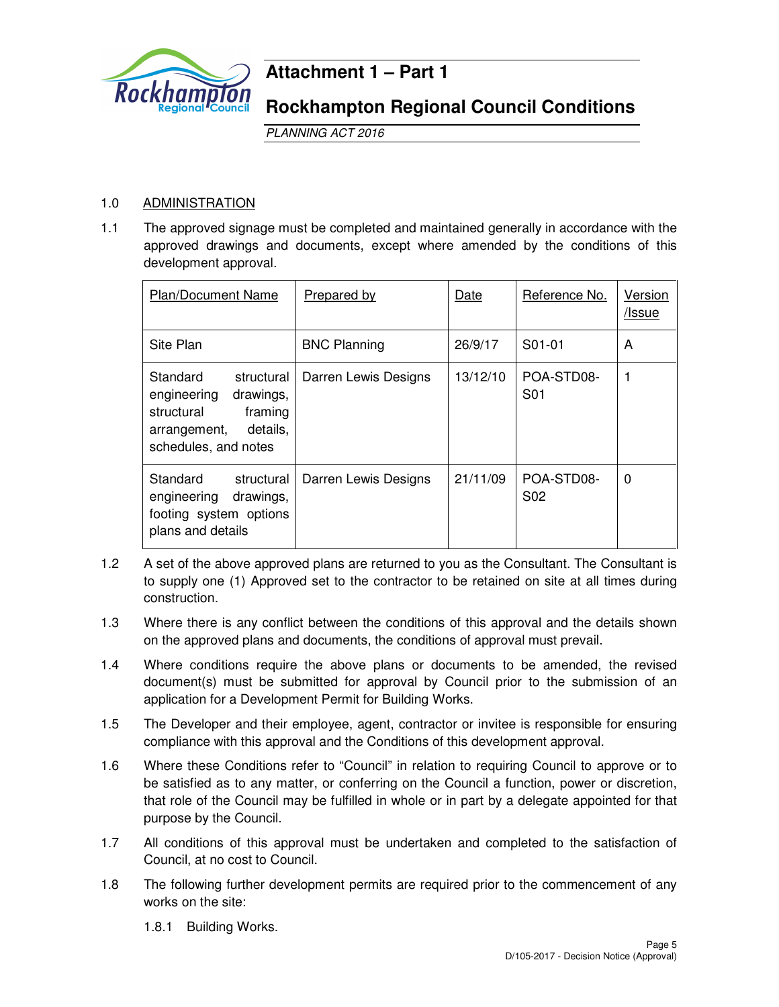

## **Attachment 1 – Part 1**

## **Rockhampton Regional Council Conditions**

PLANNING ACT 2016

## 1.0 ADMINISTRATION

1.1 The approved signage must be completed and maintained generally in accordance with the approved drawings and documents, except where amended by the conditions of this development approval.

| Plan/Document Name                                                                                                              | Prepared by          | Date     | Reference No.                  | Version<br>/Issue |
|---------------------------------------------------------------------------------------------------------------------------------|----------------------|----------|--------------------------------|-------------------|
| Site Plan                                                                                                                       | <b>BNC Planning</b>  | 26/9/17  | S01-01                         | A                 |
| Standard<br>structural<br>engineering<br>drawings,<br>framing<br>structural<br>details.<br>arrangement,<br>schedules, and notes | Darren Lewis Designs | 13/12/10 | POA-STD08-<br>S <sub>0</sub> 1 |                   |
| Standard<br>structural<br>engineering<br>drawings,<br>footing system options<br>plans and details                               | Darren Lewis Designs | 21/11/09 | POA-STD08-<br>S <sub>02</sub>  | $\Omega$          |

- 1.2 A set of the above approved plans are returned to you as the Consultant. The Consultant is to supply one (1) Approved set to the contractor to be retained on site at all times during construction.
- 1.3 Where there is any conflict between the conditions of this approval and the details shown on the approved plans and documents, the conditions of approval must prevail.
- 1.4 Where conditions require the above plans or documents to be amended, the revised document(s) must be submitted for approval by Council prior to the submission of an application for a Development Permit for Building Works.
- 1.5 The Developer and their employee, agent, contractor or invitee is responsible for ensuring compliance with this approval and the Conditions of this development approval.
- 1.6 Where these Conditions refer to "Council" in relation to requiring Council to approve or to be satisfied as to any matter, or conferring on the Council a function, power or discretion, that role of the Council may be fulfilled in whole or in part by a delegate appointed for that purpose by the Council.
- 1.7 All conditions of this approval must be undertaken and completed to the satisfaction of Council, at no cost to Council.
- 1.8 The following further development permits are required prior to the commencement of any works on the site:

1.8.1 Building Works.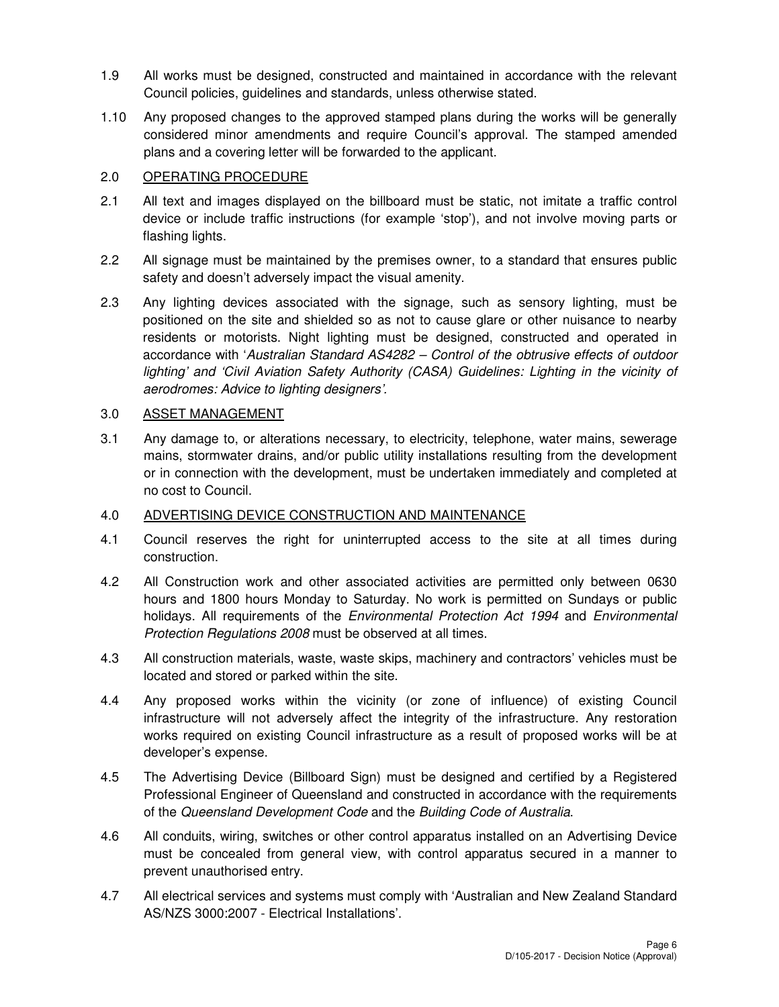- 1.9 All works must be designed, constructed and maintained in accordance with the relevant Council policies, guidelines and standards, unless otherwise stated.
- 1.10 Any proposed changes to the approved stamped plans during the works will be generally considered minor amendments and require Council's approval. The stamped amended plans and a covering letter will be forwarded to the applicant.

## 2.0 OPERATING PROCEDURE

- 2.1 All text and images displayed on the billboard must be static, not imitate a traffic control device or include traffic instructions (for example 'stop'), and not involve moving parts or flashing lights.
- 2.2 All signage must be maintained by the premises owner, to a standard that ensures public safety and doesn't adversely impact the visual amenity.
- 2.3 Any lighting devices associated with the signage, such as sensory lighting, must be positioned on the site and shielded so as not to cause glare or other nuisance to nearby residents or motorists. Night lighting must be designed, constructed and operated in accordance with 'Australian Standard AS4282 – Control of the obtrusive effects of outdoor lighting' and 'Civil Aviation Safety Authority (CASA) Guidelines: Lighting in the vicinity of aerodromes: Advice to lighting designers'.

## 3.0 ASSET MANAGEMENT

3.1 Any damage to, or alterations necessary, to electricity, telephone, water mains, sewerage mains, stormwater drains, and/or public utility installations resulting from the development or in connection with the development, must be undertaken immediately and completed at no cost to Council.

## 4.0 ADVERTISING DEVICE CONSTRUCTION AND MAINTENANCE

- 4.1 Council reserves the right for uninterrupted access to the site at all times during construction.
- 4.2 All Construction work and other associated activities are permitted only between 0630 hours and 1800 hours Monday to Saturday. No work is permitted on Sundays or public holidays. All requirements of the *Environmental Protection Act 1994* and *Environmental* Protection Regulations 2008 must be observed at all times.
- 4.3 All construction materials, waste, waste skips, machinery and contractors' vehicles must be located and stored or parked within the site.
- 4.4 Any proposed works within the vicinity (or zone of influence) of existing Council infrastructure will not adversely affect the integrity of the infrastructure. Any restoration works required on existing Council infrastructure as a result of proposed works will be at developer's expense.
- 4.5 The Advertising Device (Billboard Sign) must be designed and certified by a Registered Professional Engineer of Queensland and constructed in accordance with the requirements of the Queensland Development Code and the Building Code of Australia.
- 4.6 All conduits, wiring, switches or other control apparatus installed on an Advertising Device must be concealed from general view, with control apparatus secured in a manner to prevent unauthorised entry.
- 4.7 All electrical services and systems must comply with 'Australian and New Zealand Standard AS/NZS 3000:2007 - Electrical Installations'.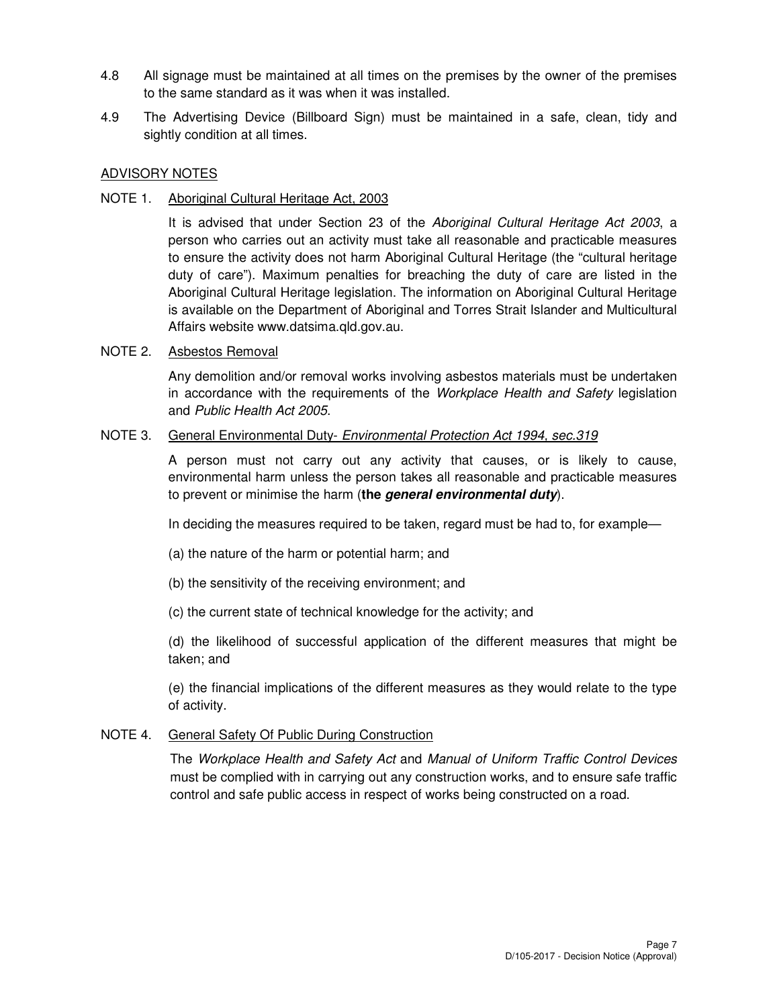- 4.8 All signage must be maintained at all times on the premises by the owner of the premises to the same standard as it was when it was installed.
- 4.9 The Advertising Device (Billboard Sign) must be maintained in a safe, clean, tidy and sightly condition at all times.

## ADVISORY NOTES

NOTE 1. Aboriginal Cultural Heritage Act, 2003

It is advised that under Section 23 of the Aboriginal Cultural Heritage Act 2003, a person who carries out an activity must take all reasonable and practicable measures to ensure the activity does not harm Aboriginal Cultural Heritage (the "cultural heritage duty of care"). Maximum penalties for breaching the duty of care are listed in the Aboriginal Cultural Heritage legislation. The information on Aboriginal Cultural Heritage is available on the Department of Aboriginal and Torres Strait Islander and Multicultural Affairs website www.datsima.qld.gov.au.

## NOTE 2. Asbestos Removal

Any demolition and/or removal works involving asbestos materials must be undertaken in accordance with the requirements of the Workplace Health and Safety legislation and Public Health Act 2005.

## NOTE 3. General Environmental Duty- Environmental Protection Act 1994, sec.319

A person must not carry out any activity that causes, or is likely to cause, environmental harm unless the person takes all reasonable and practicable measures to prevent or minimise the harm (**the general environmental duty**).

In deciding the measures required to be taken, regard must be had to, for example—

- (a) the nature of the harm or potential harm; and
- (b) the sensitivity of the receiving environment; and
- (c) the current state of technical knowledge for the activity; and

(d) the likelihood of successful application of the different measures that might be taken; and

(e) the financial implications of the different measures as they would relate to the type of activity.

## NOTE 4. General Safety Of Public During Construction

The Workplace Health and Safety Act and Manual of Uniform Traffic Control Devices must be complied with in carrying out any construction works, and to ensure safe traffic control and safe public access in respect of works being constructed on a road.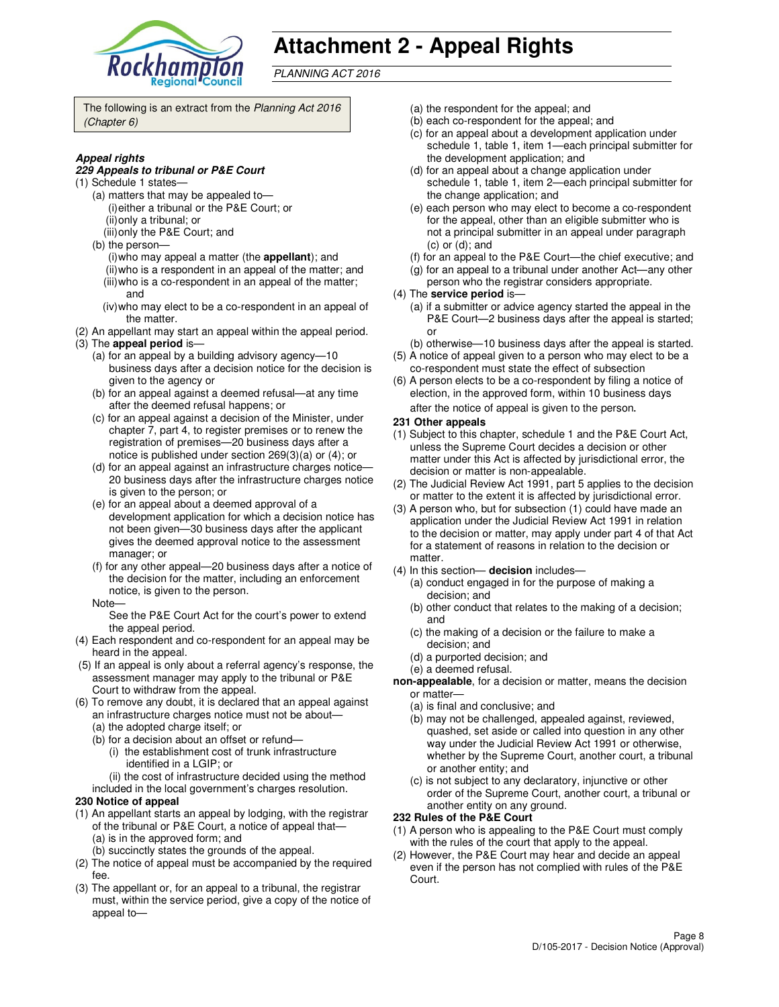

# **Attachment 2 - Appeal Rights**

PLANNING ACT 2016

The following is an extract from the Planning Act 2016 (Chapter 6)

#### **Appeal rights**

#### **229 Appeals to tribunal or P&E Court**

- (1) Schedule 1 states—
	- (a) matters that may be appealed to— (i) either a tribunal or the P&E Court; or (ii) only a tribunal; or
	- (iii) only the P&E Court; and
	- (b) the person—
		- (i) who may appeal a matter (the **appellant**); and (ii) who is a respondent in an appeal of the matter; and (iii) who is a co-respondent in an appeal of the matter;
		- and (iv) who may elect to be a co-respondent in an appeal of
	- the matter.
- (2) An appellant may start an appeal within the appeal period. (3) The **appeal period** is—
	- (a) for an appeal by a building advisory agency—10 business days after a decision notice for the decision is given to the agency or
	- (b) for an appeal against a deemed refusal—at any time after the deemed refusal happens; or
	- (c) for an appeal against a decision of the Minister, under chapter 7, part 4, to register premises or to renew the registration of premises—20 business days after a notice is published under section 269(3)(a) or (4); or
	- (d) for an appeal against an infrastructure charges notice— 20 business days after the infrastructure charges notice is given to the person; or
	- (e) for an appeal about a deemed approval of a development application for which a decision notice has not been given—30 business days after the applicant gives the deemed approval notice to the assessment manager; or
	- (f) for any other appeal—20 business days after a notice of the decision for the matter, including an enforcement notice, is given to the person.
	- Note—

See the P&E Court Act for the court's power to extend the appeal period.

- (4) Each respondent and co-respondent for an appeal may be heard in the appeal.
- (5) If an appeal is only about a referral agency's response, the assessment manager may apply to the tribunal or P&E Court to withdraw from the appeal.
- (6) To remove any doubt, it is declared that an appeal against an infrastructure charges notice must not be about—
	- (a) the adopted charge itself; or
	- (b) for a decision about an offset or refund—
		- (i) the establishment cost of trunk infrastructure identified in a LGIP; or
		- (ii) the cost of infrastructure decided using the method
	- included in the local government's charges resolution.

#### **230 Notice of appeal**

- (1) An appellant starts an appeal by lodging, with the registrar of the tribunal or P&E Court, a notice of appeal that— (a) is in the approved form; and
	- (b) succinctly states the grounds of the appeal.
- (2) The notice of appeal must be accompanied by the required fee.
- (3) The appellant or, for an appeal to a tribunal, the registrar must, within the service period, give a copy of the notice of appeal to—
- (a) the respondent for the appeal; and
- (b) each co-respondent for the appeal; and
- (c) for an appeal about a development application under schedule 1, table 1, item 1—each principal submitter for the development application; and
- (d) for an appeal about a change application under schedule 1, table 1, item 2—each principal submitter for the change application; and
- (e) each person who may elect to become a co-respondent for the appeal, other than an eligible submitter who is not a principal submitter in an appeal under paragraph (c) or (d); and
- (f) for an appeal to the P&E Court—the chief executive; and
- (g) for an appeal to a tribunal under another Act—any other
- person who the registrar considers appropriate.
- (4) The **service period** is—
	- (a) if a submitter or advice agency started the appeal in the P&E Court—2 business days after the appeal is started; or
- (b) otherwise—10 business days after the appeal is started. (5) A notice of appeal given to a person who may elect to be a
- co-respondent must state the effect of subsection (6) A person elects to be a co-respondent by filing a notice of
- election, in the approved form, within 10 business days after the notice of appeal is given to the person*.*
- **231 Other appeals**
- (1) Subject to this chapter, schedule 1 and the P&E Court Act, unless the Supreme Court decides a decision or other matter under this Act is affected by jurisdictional error, the decision or matter is non-appealable.
- (2) The Judicial Review Act 1991, part 5 applies to the decision or matter to the extent it is affected by jurisdictional error.
- (3) A person who, but for subsection (1) could have made an application under the Judicial Review Act 1991 in relation to the decision or matter, may apply under part 4 of that Act for a statement of reasons in relation to the decision or matter.
- (4) In this section— **decision** includes—
	- (a) conduct engaged in for the purpose of making a decision; and
	- (b) other conduct that relates to the making of a decision; and
	- (c) the making of a decision or the failure to make a decision; and
	- (d) a purported decision; and
	- (e) a deemed refusal.
- **non-appealable**, for a decision or matter, means the decision or matter—
	- (a) is final and conclusive; and
	- (b) may not be challenged, appealed against, reviewed, quashed, set aside or called into question in any other way under the Judicial Review Act 1991 or otherwise, whether by the Supreme Court, another court, a tribunal or another entity; and
	- (c) is not subject to any declaratory, injunctive or other order of the Supreme Court, another court, a tribunal or another entity on any ground.

#### **232 Rules of the P&E Court**

- (1) A person who is appealing to the P&E Court must comply with the rules of the court that apply to the appeal.
- (2) However, the P&E Court may hear and decide an appeal even if the person has not complied with rules of the P&E Court.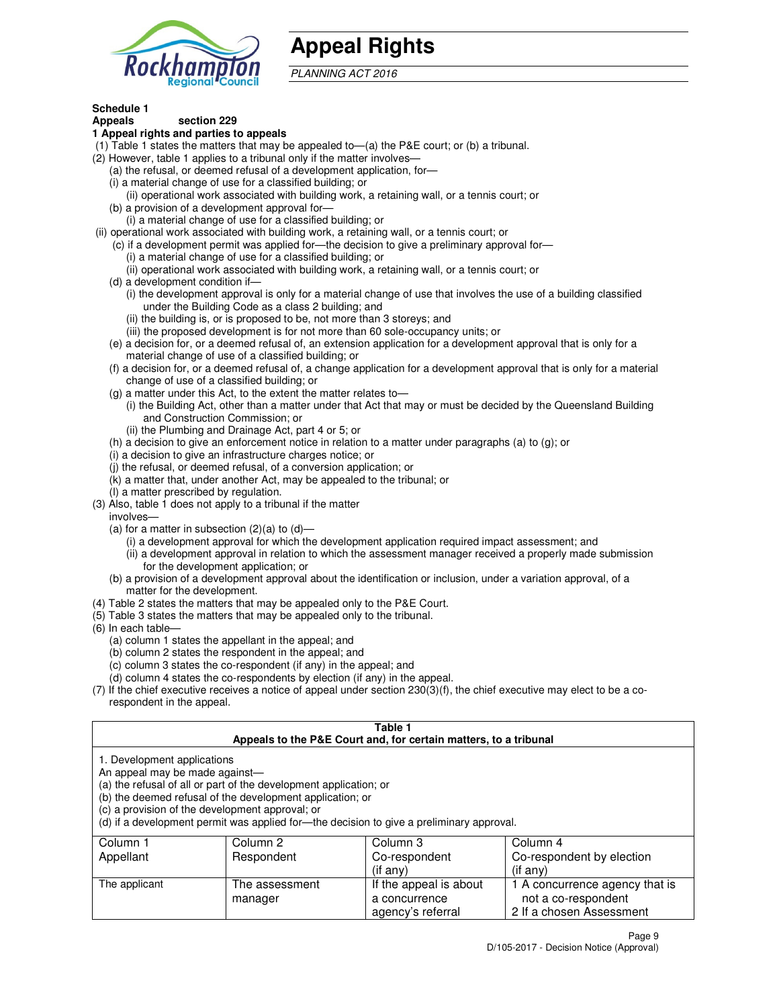

# **Appeal Rights**

PLANNING ACT 2016

#### **Schedule 1 Appeals section 229**

## **1 Appeal rights and parties to appeals**

- (1) Table 1 states the matters that may be appealed to—(a) the P&E court; or (b) a tribunal.
- (2) However, table 1 applies to a tribunal only if the matter involves—
	- (a) the refusal, or deemed refusal of a development application, for—
	- (i) a material change of use for a classified building; or
	- (ii) operational work associated with building work, a retaining wall, or a tennis court; or (b) a provision of a development approval for—
	- (i) a material change of use for a classified building; or
- (ii) operational work associated with building work, a retaining wall, or a tennis court; or
	- (c) if a development permit was applied for—the decision to give a preliminary approval for—
		- (i) a material change of use for a classified building; or
		- (ii) operational work associated with building work, a retaining wall, or a tennis court; or
	- (d) a development condition if—
		- (i) the development approval is only for a material change of use that involves the use of a building classified under the Building Code as a class 2 building; and
		- (ii) the building is, or is proposed to be, not more than 3 storeys; and
		- (iii) the proposed development is for not more than 60 sole-occupancy units; or
	- (e) a decision for, or a deemed refusal of, an extension application for a development approval that is only for a material change of use of a classified building; or
	- (f) a decision for, or a deemed refusal of, a change application for a development approval that is only for a material change of use of a classified building; or
	- (g) a matter under this Act, to the extent the matter relates to—
		- (i) the Building Act, other than a matter under that Act that may or must be decided by the Queensland Building and Construction Commission; or
		- (ii) the Plumbing and Drainage Act, part 4 or 5; or
	- (h) a decision to give an enforcement notice in relation to a matter under paragraphs (a) to (g); or
	- (i) a decision to give an infrastructure charges notice; or
	- (j) the refusal, or deemed refusal, of a conversion application; or
	- (k) a matter that, under another Act, may be appealed to the tribunal; or
	- (l) a matter prescribed by regulation.
- (3) Also, table 1 does not apply to a tribunal if the matter
- involves—
	- (a) for a matter in subsection  $(2)(a)$  to  $(d)$ 
		- (i) a development approval for which the development application required impact assessment; and
		- (ii) a development approval in relation to which the assessment manager received a properly made submission for the development application; or
	- (b) a provision of a development approval about the identification or inclusion, under a variation approval, of a matter for the development.
- (4) Table 2 states the matters that may be appealed only to the P&E Court.
- (5) Table 3 states the matters that may be appealed only to the tribunal.
- (6) In each table—
	- (a) column 1 states the appellant in the appeal; and
	- (b) column 2 states the respondent in the appeal; and
	- (c) column 3 states the co-respondent (if any) in the appeal; and
	- (d) column 4 states the co-respondents by election (if any) in the appeal.
- (7) If the chief executive receives a notice of appeal under section 230(3)(f), the chief executive may elect to be a corespondent in the appeal.

### **Table 1**

| Appeals to the P&E Court and, for certain matters, to a tribunal |                                                                                                                                                                                   |                                                                                          |                                |  |
|------------------------------------------------------------------|-----------------------------------------------------------------------------------------------------------------------------------------------------------------------------------|------------------------------------------------------------------------------------------|--------------------------------|--|
| 1. Development applications<br>An appeal may be made against—    | (a) the refusal of all or part of the development application; or<br>(b) the deemed refusal of the development application; or<br>(c) a provision of the development approval; or | (d) if a development permit was applied for—the decision to give a preliminary approval. |                                |  |
| Column 1                                                         | Column 2                                                                                                                                                                          | Column 3                                                                                 | Column 4                       |  |
| Appellant                                                        | Respondent                                                                                                                                                                        | Co-respondent                                                                            | Co-respondent by election      |  |
|                                                                  |                                                                                                                                                                                   | (if any)                                                                                 | (if any)                       |  |
| The applicant                                                    | The assessment                                                                                                                                                                    | If the appeal is about                                                                   | 1 A concurrence agency that is |  |
|                                                                  | manager                                                                                                                                                                           | a concurrence                                                                            | not a co-respondent            |  |

agency's referral

2 If a chosen Assessment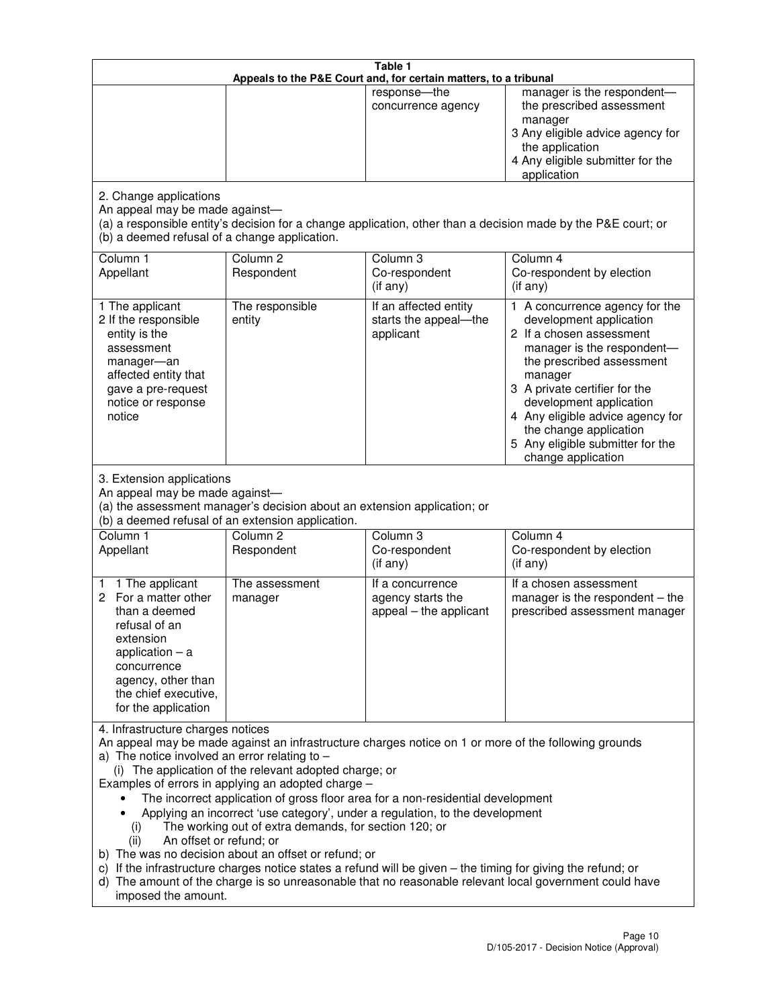|                                                                                                                                                                                                      |                                                                                                                                                                                                                               | Table 1<br>Appeals to the P&E Court and, for certain matters, to a tribunal                                                                                                                                                                                                     |                                                                                                                                                                                                                                                                                                                                                 |
|------------------------------------------------------------------------------------------------------------------------------------------------------------------------------------------------------|-------------------------------------------------------------------------------------------------------------------------------------------------------------------------------------------------------------------------------|---------------------------------------------------------------------------------------------------------------------------------------------------------------------------------------------------------------------------------------------------------------------------------|-------------------------------------------------------------------------------------------------------------------------------------------------------------------------------------------------------------------------------------------------------------------------------------------------------------------------------------------------|
|                                                                                                                                                                                                      |                                                                                                                                                                                                                               | response-the<br>concurrence agency                                                                                                                                                                                                                                              | manager is the respondent-<br>the prescribed assessment<br>manager<br>3 Any eligible advice agency for<br>the application<br>4 Any eligible submitter for the<br>application                                                                                                                                                                    |
| 2. Change applications<br>An appeal may be made against-<br>(b) a deemed refusal of a change application.                                                                                            |                                                                                                                                                                                                                               |                                                                                                                                                                                                                                                                                 | (a) a responsible entity's decision for a change application, other than a decision made by the P&E court; or                                                                                                                                                                                                                                   |
| Column 1<br>Appellant                                                                                                                                                                                | Column <sub>2</sub><br>Respondent                                                                                                                                                                                             | Column 3<br>Co-respondent<br>(if any)                                                                                                                                                                                                                                           | Column 4<br>Co-respondent by election<br>(if any)                                                                                                                                                                                                                                                                                               |
| 1 The applicant<br>2 If the responsible<br>entity is the<br>assessment<br>manager-an<br>affected entity that<br>gave a pre-request<br>notice or response<br>notice                                   | The responsible<br>entity                                                                                                                                                                                                     | If an affected entity<br>starts the appeal-the<br>applicant                                                                                                                                                                                                                     | 1 A concurrence agency for the<br>development application<br>2 If a chosen assessment<br>manager is the respondent-<br>the prescribed assessment<br>manager<br>3 A private certifier for the<br>development application<br>4 Any eligible advice agency for<br>the change application<br>5 Any eligible submitter for the<br>change application |
| 3. Extension applications<br>An appeal may be made against-<br>Column 1<br>Appellant                                                                                                                 | (a) the assessment manager's decision about an extension application; or<br>(b) a deemed refusal of an extension application.<br>Column <sub>2</sub><br>Respondent                                                            | Column 3<br>Co-respondent                                                                                                                                                                                                                                                       | Column 4<br>Co-respondent by election                                                                                                                                                                                                                                                                                                           |
| 1 The applicant<br>1<br>2 For a matter other<br>than a deemed<br>refusal of an<br>extension<br>application $-$ a<br>concurrence<br>agency, other than<br>the chief executive,<br>for the application | The assessment<br>manager                                                                                                                                                                                                     | (if any)<br>If a concurrence<br>agency starts the<br>appeal - the applicant                                                                                                                                                                                                     | (if any)<br>If a chosen assessment<br>manager is the respondent $-$ the<br>prescribed assessment manager                                                                                                                                                                                                                                        |
| 4. Infrastructure charges notices<br>a) The notice involved an error relating to $-$<br>(i)<br>An offset or refund; or<br>(ii)<br>imposed the amount.                                                | (i) The application of the relevant adopted charge; or<br>Examples of errors in applying an adopted charge -<br>The working out of extra demands, for section 120; or<br>b) The was no decision about an offset or refund; or | The incorrect application of gross floor area for a non-residential development<br>Applying an incorrect 'use category', under a regulation, to the development<br>c) If the infrastructure charges notice states a refund will be given - the timing for giving the refund; or | An appeal may be made against an infrastructure charges notice on 1 or more of the following grounds<br>d) The amount of the charge is so unreasonable that no reasonable relevant local government could have                                                                                                                                  |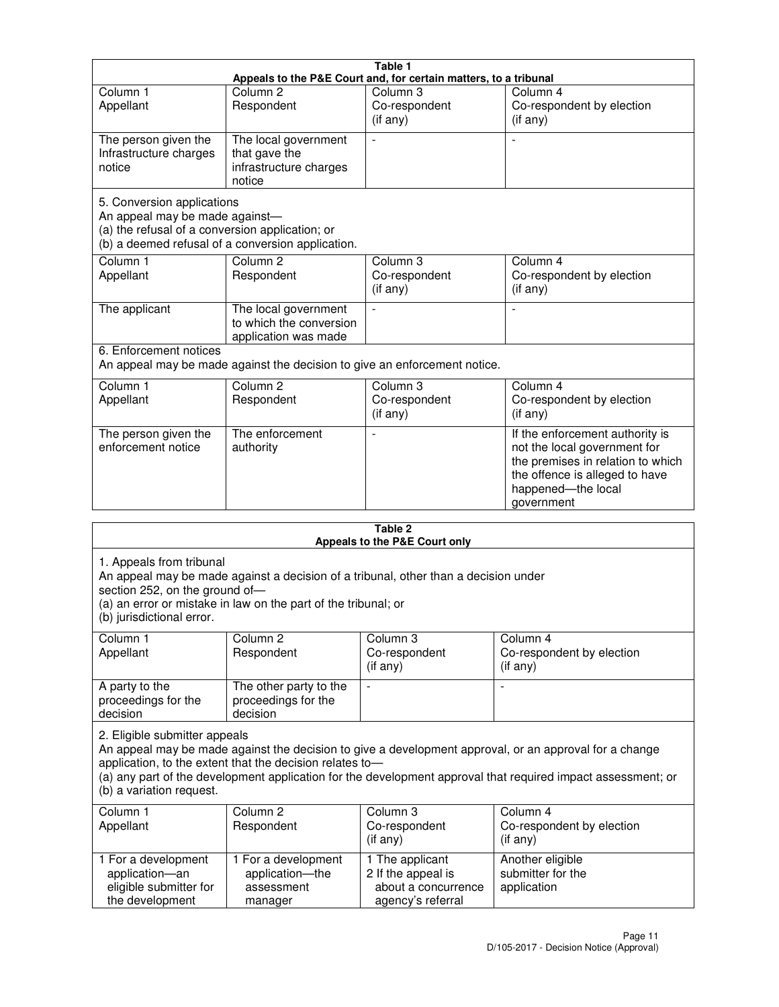|                                                                                                                 |                                                                           | Table 1                                                          |                                                                                                                                                                            |
|-----------------------------------------------------------------------------------------------------------------|---------------------------------------------------------------------------|------------------------------------------------------------------|----------------------------------------------------------------------------------------------------------------------------------------------------------------------------|
|                                                                                                                 |                                                                           | Appeals to the P&E Court and, for certain matters, to a tribunal |                                                                                                                                                                            |
| Column <sub>1</sub><br>Appellant                                                                                | Column <sub>2</sub><br>Respondent                                         | Column 3<br>Co-respondent<br>(if any)                            | Column 4<br>Co-respondent by election<br>(i f any)                                                                                                                         |
| The person given the<br>Infrastructure charges<br>notice                                                        | The local government<br>that gave the<br>infrastructure charges<br>notice | $\overline{a}$                                                   |                                                                                                                                                                            |
| 5. Conversion applications<br>An appeal may be made against-<br>(a) the refusal of a conversion application; or | (b) a deemed refusal of a conversion application.                         |                                                                  |                                                                                                                                                                            |
| Column <sub>1</sub><br>Appellant                                                                                | Column <sub>2</sub><br>Respondent                                         | Column <sub>3</sub><br>Co-respondent<br>$(i f \text{ any})$      | Column 4<br>Co-respondent by election<br>(if any)                                                                                                                          |
| The applicant                                                                                                   | The local government<br>to which the conversion<br>application was made   | $\blacksquare$                                                   |                                                                                                                                                                            |
| 6. Enforcement notices                                                                                          | An appeal may be made against the decision to give an enforcement notice. |                                                                  |                                                                                                                                                                            |
| Column <sub>1</sub><br>Appellant                                                                                | Column <sub>2</sub><br>Respondent                                         | Column 3<br>Co-respondent<br>(if any)                            | Column 4<br>Co-respondent by election<br>(if any)                                                                                                                          |
| The person given the<br>enforcement notice                                                                      | The enforcement<br>authority                                              |                                                                  | If the enforcement authority is<br>not the local government for<br>the premises in relation to which<br>the offence is alleged to have<br>happened-the local<br>government |
|                                                                                                                 |                                                                           |                                                                  |                                                                                                                                                                            |

|                                                                                         |                                                                                                                                                       | Table 2<br>Appeals to the P&E Court only                                          |                                                                                                                                                                                                                        |
|-----------------------------------------------------------------------------------------|-------------------------------------------------------------------------------------------------------------------------------------------------------|-----------------------------------------------------------------------------------|------------------------------------------------------------------------------------------------------------------------------------------------------------------------------------------------------------------------|
| 1. Appeals from tribunal<br>section 252, on the ground of-<br>(b) jurisdictional error. | An appeal may be made against a decision of a tribunal, other than a decision under<br>(a) an error or mistake in law on the part of the tribunal; or |                                                                                   |                                                                                                                                                                                                                        |
| Column 1<br>Appellant                                                                   | Column <sub>2</sub><br>Respondent                                                                                                                     | Column 3<br>Co-respondent<br>(if any)                                             | Column 4<br>Co-respondent by election<br>(if any)                                                                                                                                                                      |
| A party to the<br>proceedings for the<br>decision                                       | The other party to the<br>proceedings for the<br>decision                                                                                             | L,                                                                                |                                                                                                                                                                                                                        |
| 2. Eligible submitter appeals<br>(b) a variation request.                               | application, to the extent that the decision relates to-                                                                                              |                                                                                   | An appeal may be made against the decision to give a development approval, or an approval for a change<br>(a) any part of the development application for the development approval that required impact assessment; or |
| Column <sub>1</sub><br>Appellant                                                        | Column <sub>2</sub><br>Respondent                                                                                                                     | Column 3<br>Co-respondent<br>(i f any)                                            | Column <sub>4</sub><br>Co-respondent by election<br>(i f any)                                                                                                                                                          |
| 1 For a development<br>application-an<br>eligible submitter for<br>the development      | 1 For a development<br>application-the<br>assessment<br>manager                                                                                       | 1 The applicant<br>2 If the appeal is<br>about a concurrence<br>agency's referral | Another eligible<br>submitter for the<br>application                                                                                                                                                                   |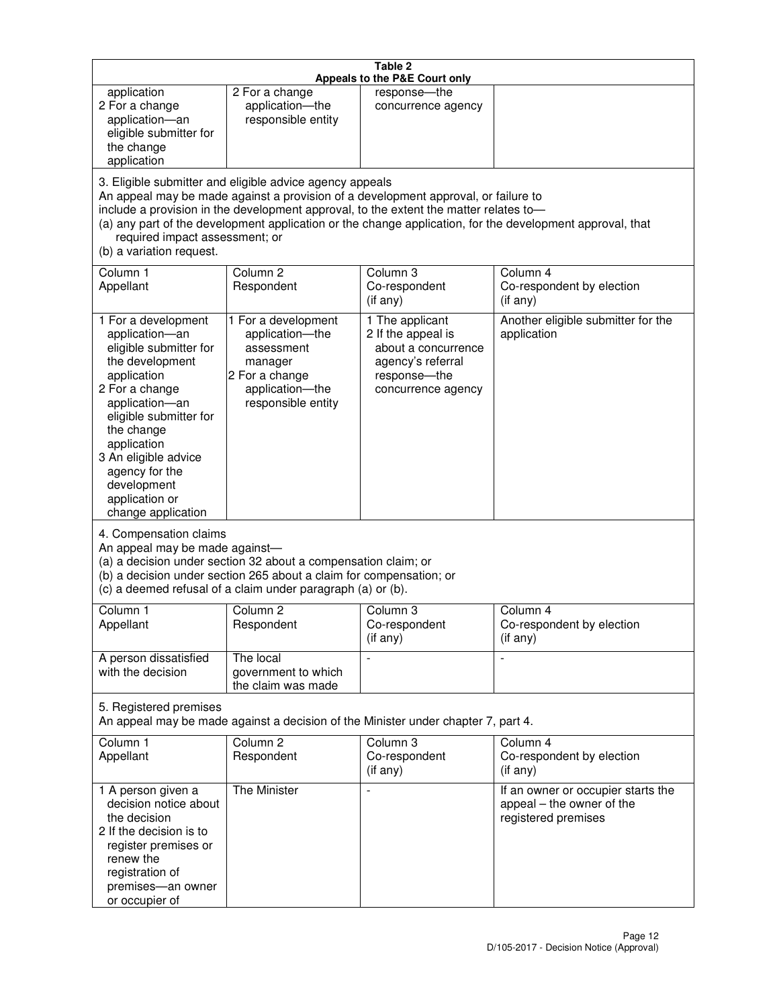|                                                                                                                                                                                                                                                                                               |                                                                                                                                                                                                      | Table 2<br>Appeals to the P&E Court only                                                                                                                                    |                                                                                                           |
|-----------------------------------------------------------------------------------------------------------------------------------------------------------------------------------------------------------------------------------------------------------------------------------------------|------------------------------------------------------------------------------------------------------------------------------------------------------------------------------------------------------|-----------------------------------------------------------------------------------------------------------------------------------------------------------------------------|-----------------------------------------------------------------------------------------------------------|
| application<br>2 For a change<br>application-an<br>eligible submitter for<br>the change<br>application                                                                                                                                                                                        | 2 For a change<br>application-the<br>responsible entity                                                                                                                                              | response-the<br>concurrence agency                                                                                                                                          |                                                                                                           |
| required impact assessment; or<br>(b) a variation request.                                                                                                                                                                                                                                    | 3. Eligible submitter and eligible advice agency appeals                                                                                                                                             | An appeal may be made against a provision of a development approval, or failure to<br>include a provision in the development approval, to the extent the matter relates to- | (a) any part of the development application or the change application, for the development approval, that |
| Column 1<br>Appellant                                                                                                                                                                                                                                                                         | Column <sub>2</sub><br>Respondent                                                                                                                                                                    | Column <sub>3</sub><br>Co-respondent<br>(if any)                                                                                                                            | Column 4<br>Co-respondent by election<br>(i f any)                                                        |
| 1 For a development<br>application-an<br>eligible submitter for<br>the development<br>application<br>2 For a change<br>application-an<br>eligible submitter for<br>the change<br>application<br>3 An eligible advice<br>agency for the<br>development<br>application or<br>change application | 1 For a development<br>application-the<br>assessment<br>manager<br>2 For a change<br>application-the<br>responsible entity                                                                           | 1 The applicant<br>2 If the appeal is<br>about a concurrence<br>agency's referral<br>response-the<br>concurrence agency                                                     | Another eligible submitter for the<br>application                                                         |
| 4. Compensation claims<br>An appeal may be made against-                                                                                                                                                                                                                                      | (a) a decision under section 32 about a compensation claim; or<br>(b) a decision under section 265 about a claim for compensation; or<br>(c) a deemed refusal of a claim under paragraph (a) or (b). |                                                                                                                                                                             |                                                                                                           |
| Column 1<br>Appellant                                                                                                                                                                                                                                                                         | Column 2<br>Respondent                                                                                                                                                                               | Column 3<br>Co-respondent<br>(if any)                                                                                                                                       | Column 4<br>Co-respondent by election<br>(if any)                                                         |
| A person dissatisfied<br>with the decision                                                                                                                                                                                                                                                    | The local<br>government to which<br>the claim was made                                                                                                                                               |                                                                                                                                                                             | $\blacksquare$                                                                                            |
| 5. Registered premises                                                                                                                                                                                                                                                                        |                                                                                                                                                                                                      | An appeal may be made against a decision of the Minister under chapter 7, part 4.                                                                                           |                                                                                                           |
| Column 1<br>Appellant                                                                                                                                                                                                                                                                         | Column <sub>2</sub><br>Respondent                                                                                                                                                                    | Column 3<br>Co-respondent<br>(if any)                                                                                                                                       | Column 4<br>Co-respondent by election<br>(if any)                                                         |
| 1 A person given a<br>decision notice about<br>the decision<br>2 If the decision is to<br>register premises or<br>renew the<br>registration of<br>premises-an owner<br>or occupier of                                                                                                         | The Minister                                                                                                                                                                                         | $\overline{a}$                                                                                                                                                              | If an owner or occupier starts the<br>appeal - the owner of the<br>registered premises                    |